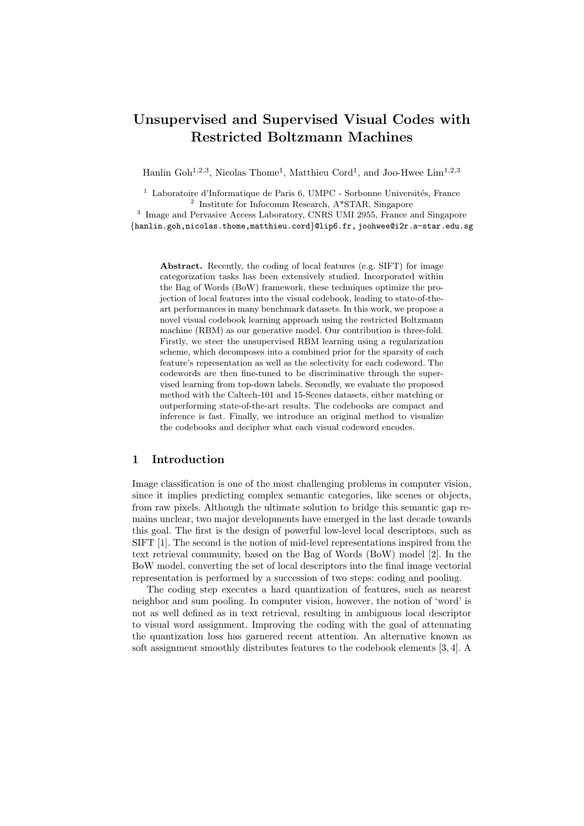# Unsupervised and Supervised Visual Codes with Restricted Boltzmann Machines

Hanlin Goh<sup>1,2,3</sup>, Nicolas Thome<sup>1</sup>, Matthieu Cord<sup>1</sup>, and Joo-Hwee Lim<sup>1,2,3</sup>

 $1$  Laboratoire d'Informatique de Paris 6, UMPC - Sorbonne Universités, France <sup>2</sup> Institute for Infocomm Research, A\*STAR, Singapore

<sup>3</sup> Image and Pervasive Access Laboratory, CNRS UMI 2955, France and Singapore {hanlin.goh,nicolas.thome,matthieu.cord}@lip6.fr, joohwee@i2r.a-star.edu.sg

Abstract. Recently, the coding of local features (e.g. SIFT) for image categorization tasks has been extensively studied. Incorporated within the Bag of Words (BoW) framework, these techniques optimize the projection of local features into the visual codebook, leading to state-of-theart performances in many benchmark datasets. In this work, we propose a novel visual codebook learning approach using the restricted Boltzmann machine (RBM) as our generative model. Our contribution is three-fold. Firstly, we steer the unsupervised RBM learning using a regularization scheme, which decomposes into a combined prior for the sparsity of each feature's representation as well as the selectivity for each codeword. The codewords are then fine-tuned to be discriminative through the supervised learning from top-down labels. Secondly, we evaluate the proposed method with the Caltech-101 and 15-Scenes datasets, either matching or outperforming state-of-the-art results. The codebooks are compact and inference is fast. Finally, we introduce an original method to visualize the codebooks and decipher what each visual codeword encodes.

# 1 Introduction

Image classification is one of the most challenging problems in computer vision, since it implies predicting complex semantic categories, like scenes or objects, from raw pixels. Although the ultimate solution to bridge this semantic gap remains unclear, two major developments have emerged in the last decade towards this goal. The first is the design of powerful low-level local descriptors, such as SIFT [1]. The second is the notion of mid-level representations inspired from the text retrieval community, based on the Bag of Words (BoW) model [2]. In the BoW model, converting the set of local descriptors into the final image vectorial representation is performed by a succession of two steps: coding and pooling.

The coding step executes a hard quantization of features, such as nearest neighbor and sum pooling. In computer vision, however, the notion of 'word' is not as well defined as in text retrieval, resulting in ambiguous local descriptor to visual word assignment. Improving the coding with the goal of attenuating the quantization loss has garnered recent attention. An alternative known as soft assignment smoothly distributes features to the codebook elements [3, 4]. A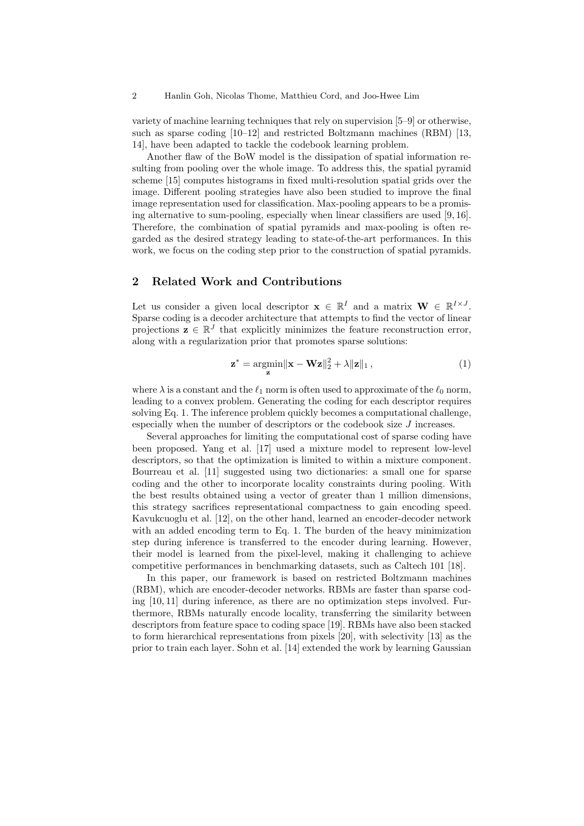2 Hanlin Goh, Nicolas Thome, Matthieu Cord, and Joo-Hwee Lim

variety of machine learning techniques that rely on supervision [5–9] or otherwise, such as sparse coding [10–12] and restricted Boltzmann machines (RBM) [13, 14], have been adapted to tackle the codebook learning problem.

Another flaw of the BoW model is the dissipation of spatial information resulting from pooling over the whole image. To address this, the spatial pyramid scheme [15] computes histograms in fixed multi-resolution spatial grids over the image. Different pooling strategies have also been studied to improve the final image representation used for classification. Max-pooling appears to be a promising alternative to sum-pooling, especially when linear classifiers are used [9, 16]. Therefore, the combination of spatial pyramids and max-pooling is often regarded as the desired strategy leading to state-of-the-art performances. In this work, we focus on the coding step prior to the construction of spatial pyramids.

## 2 Related Work and Contributions

Let us consider a given local descriptor  $\mathbf{x} \in \mathbb{R}^I$  and a matrix  $\mathbf{W} \in \mathbb{R}^{I \times J}$ . Sparse coding is a decoder architecture that attempts to find the vector of linear projections  $\mathbf{z} \in \mathbb{R}^J$  that explicitly minimizes the feature reconstruction error, along with a regularization prior that promotes sparse solutions:

$$
\mathbf{z}^* = \underset{\mathbf{z}}{\operatorname{argmin}} \|\mathbf{x} - \mathbf{W}\mathbf{z}\|_2^2 + \lambda \|\mathbf{z}\|_1,
$$
 (1)

where  $\lambda$  is a constant and the  $\ell_1$  norm is often used to approximate of the  $\ell_0$  norm, leading to a convex problem. Generating the coding for each descriptor requires solving Eq. 1. The inference problem quickly becomes a computational challenge, especially when the number of descriptors or the codebook size  $J$  increases.

Several approaches for limiting the computational cost of sparse coding have been proposed. Yang et al. [17] used a mixture model to represent low-level descriptors, so that the optimization is limited to within a mixture component. Bourreau et al. [11] suggested using two dictionaries: a small one for sparse coding and the other to incorporate locality constraints during pooling. With the best results obtained using a vector of greater than 1 million dimensions, this strategy sacrifices representational compactness to gain encoding speed. Kavukcuoglu et al. [12], on the other hand, learned an encoder-decoder network with an added encoding term to Eq. 1. The burden of the heavy minimization step during inference is transferred to the encoder during learning. However, their model is learned from the pixel-level, making it challenging to achieve competitive performances in benchmarking datasets, such as Caltech 101 [18].

In this paper, our framework is based on restricted Boltzmann machines (RBM), which are encoder-decoder networks. RBMs are faster than sparse coding [10, 11] during inference, as there are no optimization steps involved. Furthermore, RBMs naturally encode locality, transferring the similarity between descriptors from feature space to coding space [19]. RBMs have also been stacked to form hierarchical representations from pixels [20], with selectivity [13] as the prior to train each layer. Sohn et al. [14] extended the work by learning Gaussian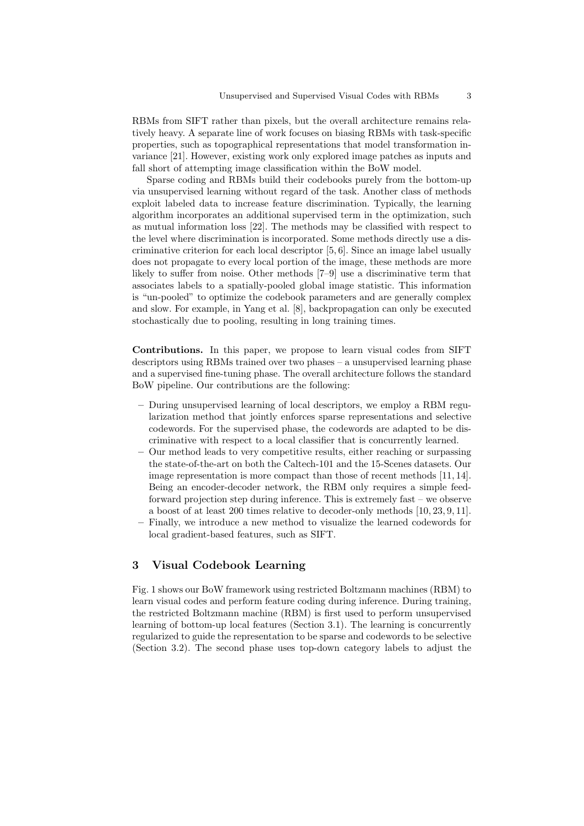RBMs from SIFT rather than pixels, but the overall architecture remains relatively heavy. A separate line of work focuses on biasing RBMs with task-specific properties, such as topographical representations that model transformation invariance [21]. However, existing work only explored image patches as inputs and fall short of attempting image classification within the BoW model.

Sparse coding and RBMs build their codebooks purely from the bottom-up via unsupervised learning without regard of the task. Another class of methods exploit labeled data to increase feature discrimination. Typically, the learning algorithm incorporates an additional supervised term in the optimization, such as mutual information loss [22]. The methods may be classified with respect to the level where discrimination is incorporated. Some methods directly use a discriminative criterion for each local descriptor [5, 6]. Since an image label usually does not propagate to every local portion of the image, these methods are more likely to suffer from noise. Other methods [7–9] use a discriminative term that associates labels to a spatially-pooled global image statistic. This information is "un-pooled" to optimize the codebook parameters and are generally complex and slow. For example, in Yang et al. [8], backpropagation can only be executed stochastically due to pooling, resulting in long training times.

Contributions. In this paper, we propose to learn visual codes from SIFT descriptors using RBMs trained over two phases – a unsupervised learning phase and a supervised fine-tuning phase. The overall architecture follows the standard BoW pipeline. Our contributions are the following:

- During unsupervised learning of local descriptors, we employ a RBM regularization method that jointly enforces sparse representations and selective codewords. For the supervised phase, the codewords are adapted to be discriminative with respect to a local classifier that is concurrently learned.
- Our method leads to very competitive results, either reaching or surpassing the state-of-the-art on both the Caltech-101 and the 15-Scenes datasets. Our image representation is more compact than those of recent methods [11, 14]. Being an encoder-decoder network, the RBM only requires a simple feedforward projection step during inference. This is extremely fast – we observe a boost of at least 200 times relative to decoder-only methods [10, 23, 9, 11].
- Finally, we introduce a new method to visualize the learned codewords for local gradient-based features, such as SIFT.

## 3 Visual Codebook Learning

Fig. 1 shows our BoW framework using restricted Boltzmann machines (RBM) to learn visual codes and perform feature coding during inference. During training, the restricted Boltzmann machine (RBM) is first used to perform unsupervised learning of bottom-up local features (Section 3.1). The learning is concurrently regularized to guide the representation to be sparse and codewords to be selective (Section 3.2). The second phase uses top-down category labels to adjust the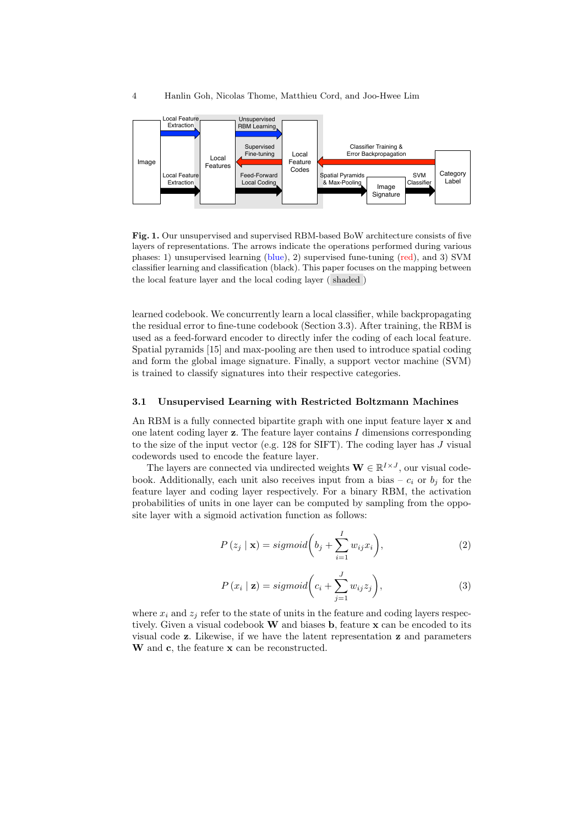

Fig. 1. Our unsupervised and supervised RBM-based BoW architecture consists of five layers of representations. The arrows indicate the operations performed during various phases: 1) unsupervised learning (blue), 2) supervised fune-tuning (red), and 3) SVM classifier learning and classification (black). This paper focuses on the mapping between the local feature layer and the local coding layer ( shaded )

learned codebook. We concurrently learn a local classifier, while backpropagating the residual error to fine-tune codebook (Section 3.3). After training, the RBM is used as a feed-forward encoder to directly infer the coding of each local feature. Spatial pyramids [15] and max-pooling are then used to introduce spatial coding and form the global image signature. Finally, a support vector machine (SVM) is trained to classify signatures into their respective categories.

### 3.1 Unsupervised Learning with Restricted Boltzmann Machines

An RBM is a fully connected bipartite graph with one input feature layer **x** and one latent coding layer  $z$ . The feature layer contains  $I$  dimensions corresponding to the size of the input vector (e.g. 128 for SIFT). The coding layer has J visual codewords used to encode the feature layer.

The layers are connected via undirected weights  $\mathbf{W} \in \mathbb{R}^{I \times J}$ , our visual codebook. Additionally, each unit also receives input from a bias –  $c_i$  or  $b_j$  for the feature layer and coding layer respectively. For a binary RBM, the activation probabilities of units in one layer can be computed by sampling from the opposite layer with a sigmoid activation function as follows:

$$
P(z_j \mid \mathbf{x}) = sigmoid\bigg(b_j + \sum_{i=1}^{I} w_{ij}x_i\bigg),\tag{2}
$$

$$
P(x_i | \mathbf{z}) = sigmoid\bigg(c_i + \sum_{j=1}^{J} w_{ij} z_j\bigg),\tag{3}
$$

where  $x_i$  and  $z_j$  refer to the state of units in the feature and coding layers respectively. Given a visual codebook  $W$  and biases  $b$ , feature  $x$  can be encoded to its visual code z. Likewise, if we have the latent representation z and parameters W and c, the feature x can be reconstructed.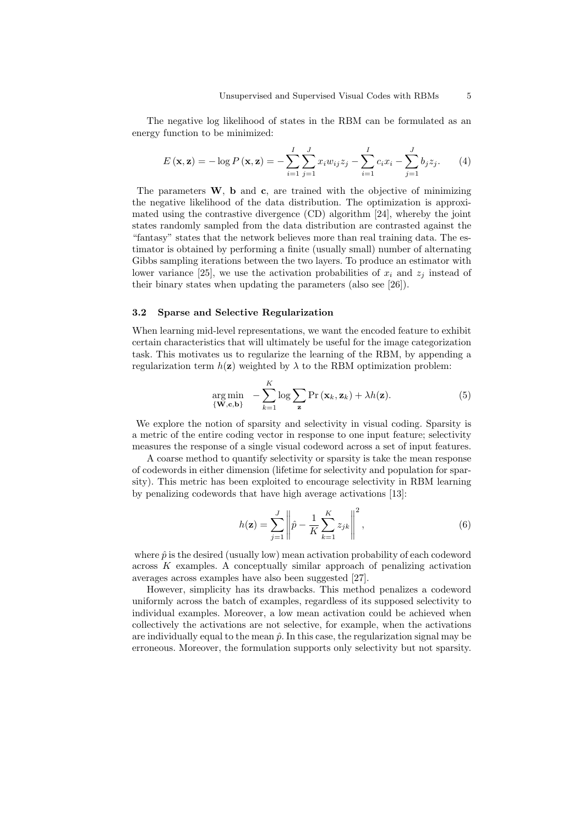The negative log likelihood of states in the RBM can be formulated as an energy function to be minimized:

$$
E(\mathbf{x}, \mathbf{z}) = -\log P(\mathbf{x}, \mathbf{z}) = -\sum_{i=1}^{I} \sum_{j=1}^{J} x_i w_{ij} z_j - \sum_{i=1}^{I} c_i x_i - \sum_{j=1}^{J} b_j z_j.
$$
 (4)

The parameters  $W$ ,  $b$  and  $c$ , are trained with the objective of minimizing the negative likelihood of the data distribution. The optimization is approximated using the contrastive divergence (CD) algorithm [24], whereby the joint states randomly sampled from the data distribution are contrasted against the "fantasy" states that the network believes more than real training data. The estimator is obtained by performing a finite (usually small) number of alternating Gibbs sampling iterations between the two layers. To produce an estimator with lower variance [25], we use the activation probabilities of  $x_i$  and  $z_j$  instead of their binary states when updating the parameters (also see [26]).

#### 3.2 Sparse and Selective Regularization

When learning mid-level representations, we want the encoded feature to exhibit certain characteristics that will ultimately be useful for the image categorization task. This motivates us to regularize the learning of the RBM, by appending a regularization term  $h(\mathbf{z})$  weighted by  $\lambda$  to the RBM optimization problem:

$$
\underset{\{\mathbf{W},\mathbf{c},\mathbf{b}\}}{\arg\min} \quad -\sum_{k=1}^{K} \log \sum_{\mathbf{z}} \Pr\left(\mathbf{x}_k,\mathbf{z}_k\right) + \lambda h(\mathbf{z}).\tag{5}
$$

We explore the notion of sparsity and selectivity in visual coding. Sparsity is a metric of the entire coding vector in response to one input feature; selectivity measures the response of a single visual codeword across a set of input features.

A coarse method to quantify selectivity or sparsity is take the mean response of codewords in either dimension (lifetime for selectivity and population for sparsity). This metric has been exploited to encourage selectivity in RBM learning by penalizing codewords that have high average activations [13]:

$$
h(\mathbf{z}) = \sum_{j=1}^{J} \left\| \hat{p} - \frac{1}{K} \sum_{k=1}^{K} z_{jk} \right\|^2, \tag{6}
$$

where  $\hat{p}$  is the desired (usually low) mean activation probability of each codeword across K examples. A conceptually similar approach of penalizing activation averages across examples have also been suggested [27].

However, simplicity has its drawbacks. This method penalizes a codeword uniformly across the batch of examples, regardless of its supposed selectivity to individual examples. Moreover, a low mean activation could be achieved when collectively the activations are not selective, for example, when the activations are individually equal to the mean  $\hat{p}$ . In this case, the regularization signal may be erroneous. Moreover, the formulation supports only selectivity but not sparsity.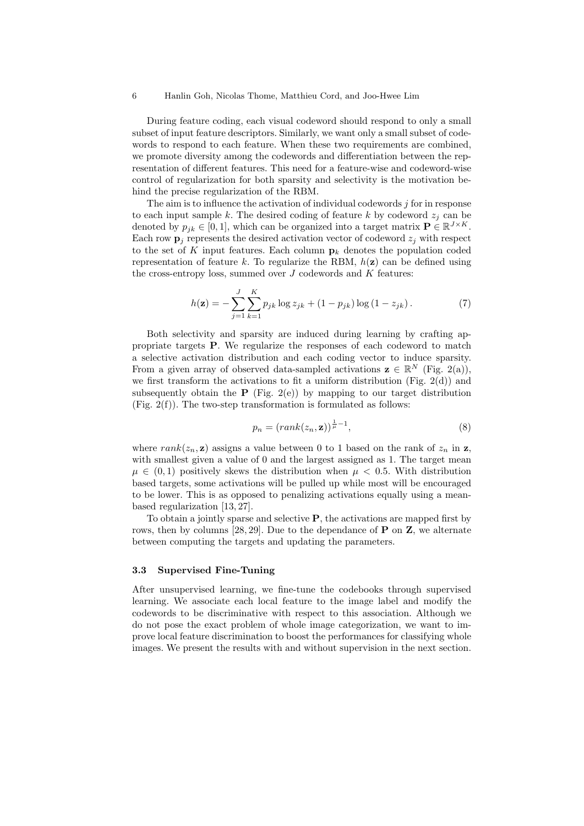During feature coding, each visual codeword should respond to only a small subset of input feature descriptors. Similarly, we want only a small subset of codewords to respond to each feature. When these two requirements are combined, we promote diversity among the codewords and differentiation between the representation of different features. This need for a feature-wise and codeword-wise control of regularization for both sparsity and selectivity is the motivation behind the precise regularization of the RBM.

The aim is to influence the activation of individual codewords j for in response to each input sample k. The desired coding of feature k by codeword  $z_i$  can be denoted by  $p_{jk} \in [0,1]$ , which can be organized into a target matrix  $\mathbf{P} \in \mathbb{R}^{J \times K}$ . Each row  $\mathbf{p}_i$  represents the desired activation vector of codeword  $z_i$  with respect to the set of K input features. Each column  $\mathbf{p}_k$  denotes the population coded representation of feature k. To regularize the RBM,  $h(z)$  can be defined using the cross-entropy loss, summed over  $J$  codewords and  $K$  features:

$$
h(\mathbf{z}) = -\sum_{j=1}^{J} \sum_{k=1}^{K} p_{jk} \log z_{jk} + (1 - p_{jk}) \log (1 - z_{jk}). \tag{7}
$$

Both selectivity and sparsity are induced during learning by crafting appropriate targets P. We regularize the responses of each codeword to match a selective activation distribution and each coding vector to induce sparsity. From a given array of observed data-sampled activations  $\mathbf{z} \in \mathbb{R}^N$  (Fig. 2(a)), we first transform the activations to fit a uniform distribution (Fig.  $2(d)$ ) and subsequently obtain the  $P$  (Fig. 2(e)) by mapping to our target distribution  $(Fig. 2(f))$ . The two-step transformation is formulated as follows:

$$
p_n = (rank(z_n, \mathbf{z}))^{\frac{1}{\mu} - 1},\tag{8}
$$

where rank $(z_n, z)$  assigns a value between 0 to 1 based on the rank of  $z_n$  in z, with smallest given a value of 0 and the largest assigned as 1. The target mean  $\mu \in (0,1)$  positively skews the distribution when  $\mu < 0.5$ . With distribution based targets, some activations will be pulled up while most will be encouraged to be lower. This is as opposed to penalizing activations equally using a meanbased regularization [13, 27].

To obtain a jointly sparse and selective  $P$ , the activations are mapped first by rows, then by columns [28, 29]. Due to the dependance of  $P$  on  $Z$ , we alternate between computing the targets and updating the parameters.

#### 3.3 Supervised Fine-Tuning

After unsupervised learning, we fine-tune the codebooks through supervised learning. We associate each local feature to the image label and modify the codewords to be discriminative with respect to this association. Although we do not pose the exact problem of whole image categorization, we want to improve local feature discrimination to boost the performances for classifying whole images. We present the results with and without supervision in the next section.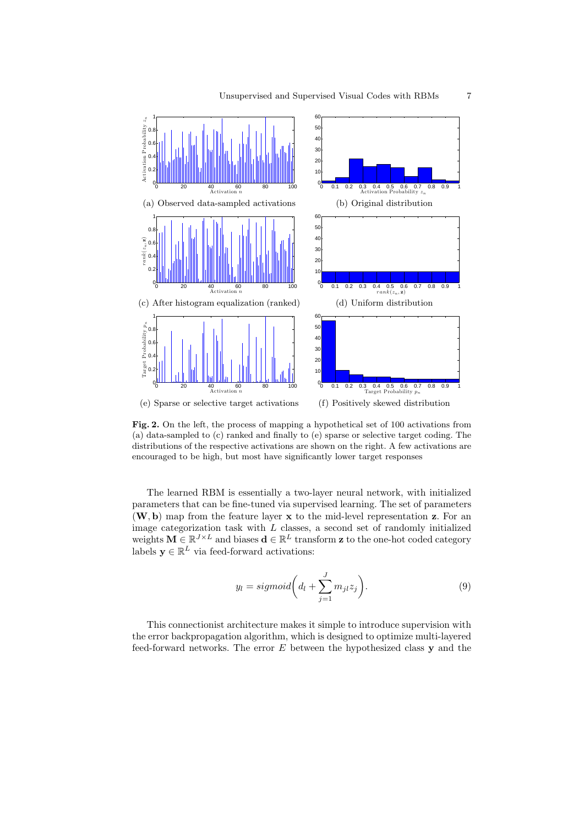

Fig. 2. On the left, the process of mapping a hypothetical set of 100 activations from (a) data-sampled to (c) ranked and finally to (e) sparse or selective target coding. The distributions of the respective activations are shown on the right. A few activations are encouraged to be high, but most have significantly lower target responses

The learned RBM is essentially a two-layer neural network, with initialized parameters that can be fine-tuned via supervised learning. The set of parameters  $(W, b)$  map from the feature layer  $x$  to the mid-level representation  $z$ . For an image categorization task with  $L$  classes, a second set of randomly initialized weights  $\mathbf{M} \in \mathbb{R}^{J \times L}$  and biases  $\mathbf{d} \in \mathbb{R}^{L}$  transform **z** to the one-hot coded category labels  $y \in \mathbb{R}^L$  via feed-forward activations:

$$
y_l = sigmoid\bigg(d_l + \sum_{j=1}^{J} m_{jl} z_j\bigg). \tag{9}
$$

This connectionist architecture makes it simple to introduce supervision with the error backpropagation algorithm, which is designed to optimize multi-layered feed-forward networks. The error  $E$  between the hypothesized class  $y$  and the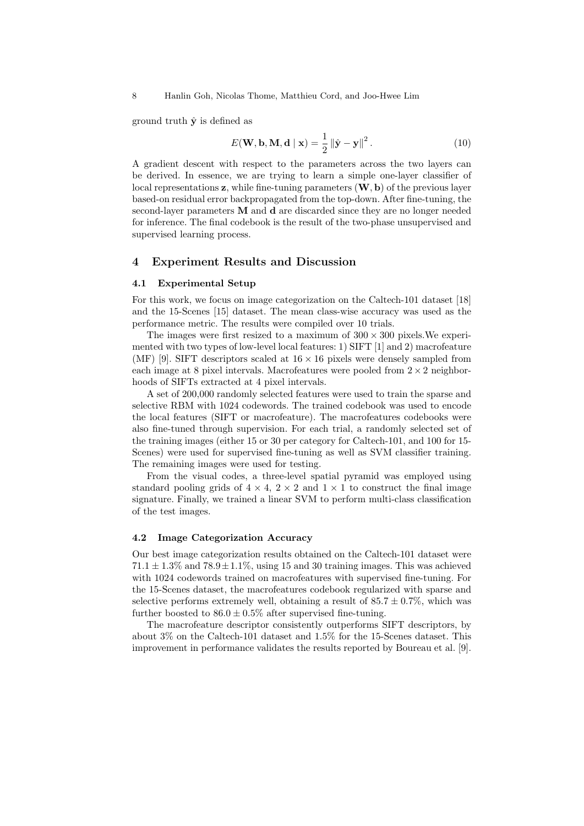ground truth  $\hat{\mathbf{v}}$  is defined as

$$
E(\mathbf{W}, \mathbf{b}, \mathbf{M}, \mathbf{d} \mid \mathbf{x}) = \frac{1}{2} \left\| \hat{\mathbf{y}} - \mathbf{y} \right\|^2.
$$
 (10)

A gradient descent with respect to the parameters across the two layers can be derived. In essence, we are trying to learn a simple one-layer classifier of local representations  $z$ , while fine-tuning parameters  $(W, b)$  of the previous layer based-on residual error backpropagated from the top-down. After fine-tuning, the second-layer parameters M and d are discarded since they are no longer needed for inference. The final codebook is the result of the two-phase unsupervised and supervised learning process.

# 4 Experiment Results and Discussion

#### 4.1 Experimental Setup

For this work, we focus on image categorization on the Caltech-101 dataset [18] and the 15-Scenes [15] dataset. The mean class-wise accuracy was used as the performance metric. The results were compiled over 10 trials.

The images were first resized to a maximum of  $300 \times 300$  pixels. We experimented with two types of low-level local features: 1) SIFT [1] and 2) macrofeature (MF) [9]. SIFT descriptors scaled at  $16 \times 16$  pixels were densely sampled from each image at 8 pixel intervals. Macrofeatures were pooled from  $2 \times 2$  neighborhoods of SIFTs extracted at 4 pixel intervals.

A set of 200,000 randomly selected features were used to train the sparse and selective RBM with 1024 codewords. The trained codebook was used to encode the local features (SIFT or macrofeature). The macrofeatures codebooks were also fine-tuned through supervision. For each trial, a randomly selected set of the training images (either 15 or 30 per category for Caltech-101, and 100 for 15- Scenes) were used for supervised fine-tuning as well as SVM classifier training. The remaining images were used for testing.

From the visual codes, a three-level spatial pyramid was employed using standard pooling grids of  $4 \times 4$ ,  $2 \times 2$  and  $1 \times 1$  to construct the final image signature. Finally, we trained a linear SVM to perform multi-class classification of the test images.

## 4.2 Image Categorization Accuracy

Our best image categorization results obtained on the Caltech-101 dataset were  $71.1 \pm 1.3\%$  and  $78.9 \pm 1.1\%$ , using 15 and 30 training images. This was achieved with 1024 codewords trained on macrofeatures with supervised fine-tuning. For the 15-Scenes dataset, the macrofeatures codebook regularized with sparse and selective performs extremely well, obtaining a result of  $85.7 \pm 0.7\%$ , which was further boosted to  $86.0 \pm 0.5\%$  after supervised fine-tuning.

The macrofeature descriptor consistently outperforms SIFT descriptors, by about 3% on the Caltech-101 dataset and 1.5% for the 15-Scenes dataset. This improvement in performance validates the results reported by Boureau et al. [9].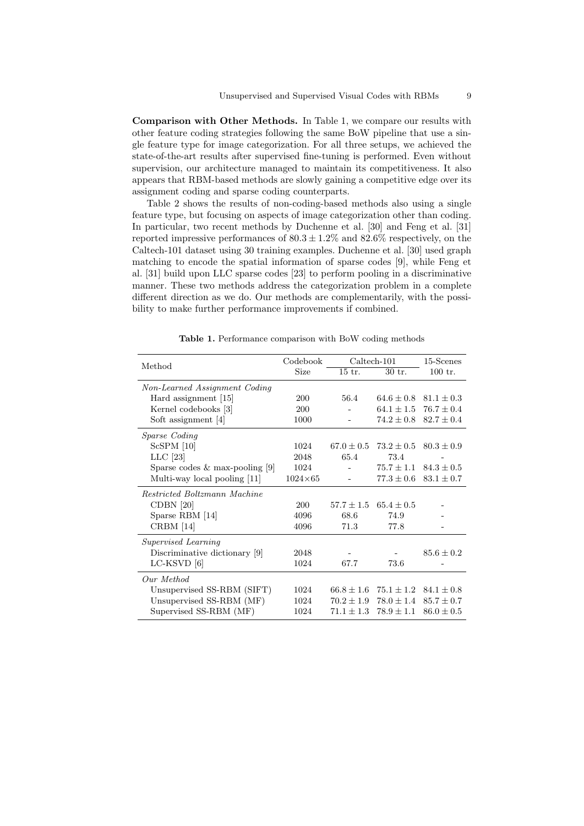Comparison with Other Methods. In Table 1, we compare our results with other feature coding strategies following the same BoW pipeline that use a single feature type for image categorization. For all three setups, we achieved the state-of-the-art results after supervised fine-tuning is performed. Even without supervision, our architecture managed to maintain its competitiveness. It also appears that RBM-based methods are slowly gaining a competitive edge over its assignment coding and sparse coding counterparts.

Table 2 shows the results of non-coding-based methods also using a single feature type, but focusing on aspects of image categorization other than coding. In particular, two recent methods by Duchenne et al. [30] and Feng et al. [31] reported impressive performances of  $80.3 \pm 1.2\%$  and  $82.6\%$  respectively, on the Caltech-101 dataset using 30 training examples. Duchenne et al. [30] used graph matching to encode the spatial information of sparse codes [9], while Feng et al. [31] build upon LLC sparse codes [23] to perform pooling in a discriminative manner. These two methods address the categorization problem in a complete different direction as we do. Our methods are complementarily, with the possibility to make further performance improvements if combined.

| Method                              | Codebook       | $Caltech-101$  |                | 15-Scenes      |
|-------------------------------------|----------------|----------------|----------------|----------------|
|                                     | Size           | 15 tr.         | 30 tr.         | 100 tr.        |
| Non-Learned Assignment Coding       |                |                |                |                |
| Hard assignment [15]                | 200            | 56.4           | $64.6 + 0.8$   | $81.1 + 0.3$   |
| Kernel codebooks [3]                | 200            |                | $64.1 + 1.5$   | $76.7 + 0.4$   |
| Soft assignment [4]                 | 1000           |                | $74.2 \pm 0.8$ | $82.7 \pm 0.4$ |
| <i>Sparse Coding</i>                |                |                |                |                |
| $ScSPM$ [10]                        | 1024           | $67.0 + 0.5$   | $73.2 + 0.5$   | $80.3 + 0.9$   |
| $LLC$ [23]                          | 2048           | 65.4           | 73.4           |                |
| Sparse codes $\&$ max-pooling $ 9 $ | 1024           |                | $75.7 + 1.1$   | $84.3 + 0.5$   |
| Multi-way local pooling [11]        | $1024\times65$ |                | $77.3 \pm 0.6$ | $83.1 \pm 0.7$ |
| Restricted Boltzmann Machine        |                |                |                |                |
| $CDBN$ [20]                         | 200            | $57.7 \pm 1.5$ | $65.4 + 0.5$   |                |
| Sparse RBM [14]                     | 4096           | 68.6           | 74.9           |                |
| CRBM [14]                           | 4096           | 71.3           | 77.8           |                |
| Supervised Learning                 |                |                |                |                |
| Discriminative dictionary [9]       | 2048           |                |                | $85.6 \pm 0.2$ |
| LC-KSVD [6]                         | 1024           | 67.7           | 73.6           |                |
| Our Method                          |                |                |                |                |
| Unsupervised SS-RBM (SIFT)          | 1024           | $66.8 + 1.6$   | $75.1 + 1.2$   | $84.1 + 0.8$   |
| Unsupervised SS-RBM (MF)            | 1024           | $70.2 \pm 1.9$ | $78.0 \pm 1.4$ | $85.7 \pm 0.7$ |
| Supervised SS-RBM (MF)              | 1024           | $71.1 \pm 1.3$ | $78.9 \pm 1.1$ | $86.0 \pm 0.5$ |

Table 1. Performance comparison with BoW coding methods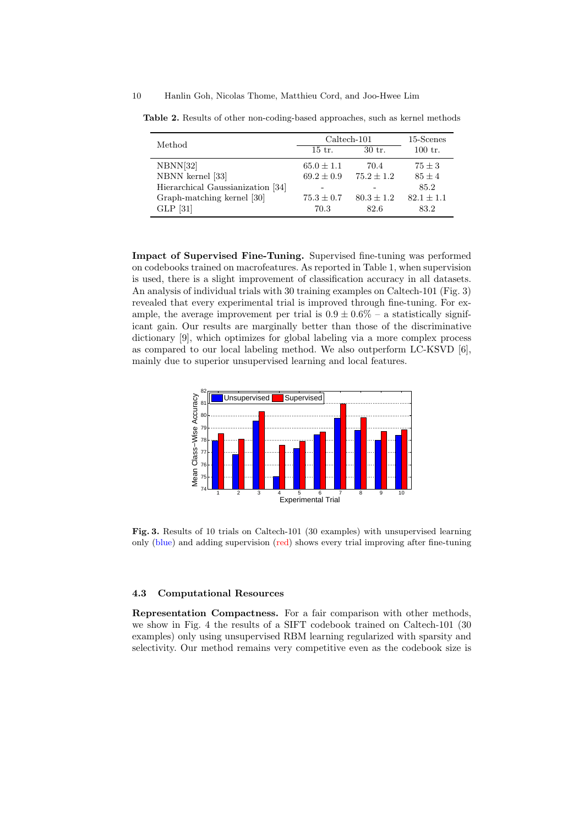#### 10 Hanlin Goh, Nicolas Thome, Matthieu Cord, and Joo-Hwee Lim

| Method                            | $Caltech-101$  | 15-Scenes      |              |
|-----------------------------------|----------------|----------------|--------------|
|                                   | $15$ tr.       | $30$ tr.       | $100$ tr.    |
| NBNN[32]                          | $65.0 \pm 1.1$ | 70.4           | $75 + 3$     |
| NBNN kernel [33]                  | $69.2 \pm 0.9$ | $75.2 \pm 1.2$ | $85 + 4$     |
| Hierarchical Gaussianization [34] |                |                | 85.2         |
| Graph-matching kernel [30]        | $75.3 \pm 0.7$ | $80.3 \pm 1.2$ | $82.1 + 1.1$ |
| $GLP$ [31]                        | 70.3           | 82.6           | 83.2         |

Table 2. Results of other non-coding-based approaches, such as kernel methods

Impact of Supervised Fine-Tuning. Supervised fine-tuning was performed on codebooks trained on macrofeatures. As reported in Table 1, when supervision is used, there is a slight improvement of classification accuracy in all datasets. An analysis of individual trials with 30 training examples on Caltech-101 (Fig. 3) revealed that every experimental trial is improved through fine-tuning. For example, the average improvement per trial is  $0.9 \pm 0.6\%$  – a statistically significant gain. Our results are marginally better than those of the discriminative dictionary [9], which optimizes for global labeling via a more complex process as compared to our local labeling method. We also outperform LC-KSVD [6], mainly due to superior unsupervised learning and local features.



Fig. 3. Results of 10 trials on Caltech-101 (30 examples) with unsupervised learning only (blue) and adding supervision (red) shows every trial improving after fine-tuning

#### 4.3 Computational Resources

Representation Compactness. For a fair comparison with other methods, we show in Fig. 4 the results of a SIFT codebook trained on Caltech-101 (30 examples) only using unsupervised RBM learning regularized with sparsity and selectivity. Our method remains very competitive even as the codebook size is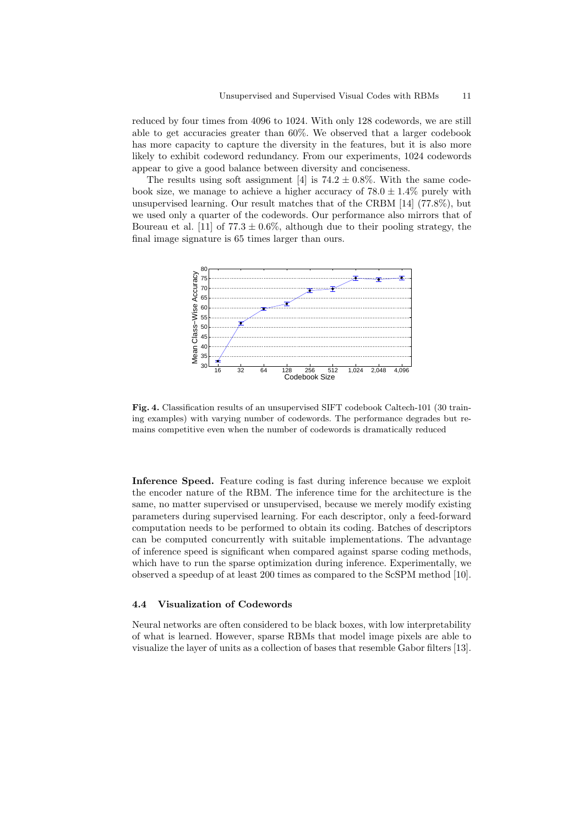reduced by four times from 4096 to 1024. With only 128 codewords, we are still able to get accuracies greater than 60%. We observed that a larger codebook has more capacity to capture the diversity in the features, but it is also more likely to exhibit codeword redundancy. From our experiments, 1024 codewords appear to give a good balance between diversity and conciseness.

The results using soft assignment [4] is  $74.2 \pm 0.8\%$ . With the same codebook size, we manage to achieve a higher accuracy of  $78.0 \pm 1.4\%$  purely with unsupervised learning. Our result matches that of the CRBM [14] (77.8%), but we used only a quarter of the codewords. Our performance also mirrors that of Boureau et al. [11] of  $77.3 \pm 0.6\%$ , although due to their pooling strategy, the final image signature is 65 times larger than ours.



Fig. 4. Classification results of an unsupervised SIFT codebook Caltech-101 (30 training examples) with varying number of codewords. The performance degrades but remains competitive even when the number of codewords is dramatically reduced

Inference Speed. Feature coding is fast during inference because we exploit the encoder nature of the RBM. The inference time for the architecture is the same, no matter supervised or unsupervised, because we merely modify existing parameters during supervised learning. For each descriptor, only a feed-forward computation needs to be performed to obtain its coding. Batches of descriptors can be computed concurrently with suitable implementations. The advantage of inference speed is significant when compared against sparse coding methods, which have to run the sparse optimization during inference. Experimentally, we observed a speedup of at least 200 times as compared to the ScSPM method [10].

## 4.4 Visualization of Codewords

Neural networks are often considered to be black boxes, with low interpretability of what is learned. However, sparse RBMs that model image pixels are able to visualize the layer of units as a collection of bases that resemble Gabor filters [13].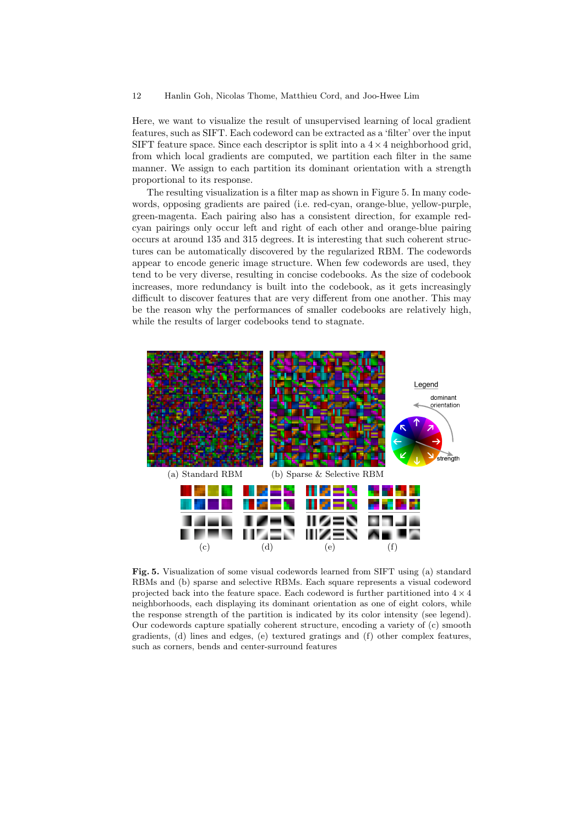#### 12 Hanlin Goh, Nicolas Thome, Matthieu Cord, and Joo-Hwee Lim

Here, we want to visualize the result of unsupervised learning of local gradient features, such as SIFT. Each codeword can be extracted as a 'filter' over the input SIFT feature space. Since each descriptor is split into a  $4 \times 4$  neighborhood grid, from which local gradients are computed, we partition each filter in the same manner. We assign to each partition its dominant orientation with a strength proportional to its response.

The resulting visualization is a filter map as shown in Figure 5. In many codewords, opposing gradients are paired (i.e. red-cyan, orange-blue, yellow-purple, green-magenta. Each pairing also has a consistent direction, for example redcyan pairings only occur left and right of each other and orange-blue pairing occurs at around 135 and 315 degrees. It is interesting that such coherent structures can be automatically discovered by the regularized RBM. The codewords appear to encode generic image structure. When few codewords are used, they tend to be very diverse, resulting in concise codebooks. As the size of codebook increases, more redundancy is built into the codebook, as it gets increasingly difficult to discover features that are very different from one another. This may be the reason why the performances of smaller codebooks are relatively high, while the results of larger codebooks tend to stagnate.



Fig. 5. Visualization of some visual codewords learned from SIFT using (a) standard RBMs and (b) sparse and selective RBMs. Each square represents a visual codeword projected back into the feature space. Each codeword is further partitioned into  $4 \times 4$ neighborhoods, each displaying its dominant orientation as one of eight colors, while the response strength of the partition is indicated by its color intensity (see legend). Our codewords capture spatially coherent structure, encoding a variety of (c) smooth gradients, (d) lines and edges, (e) textured gratings and (f) other complex features, such as corners, bends and center-surround features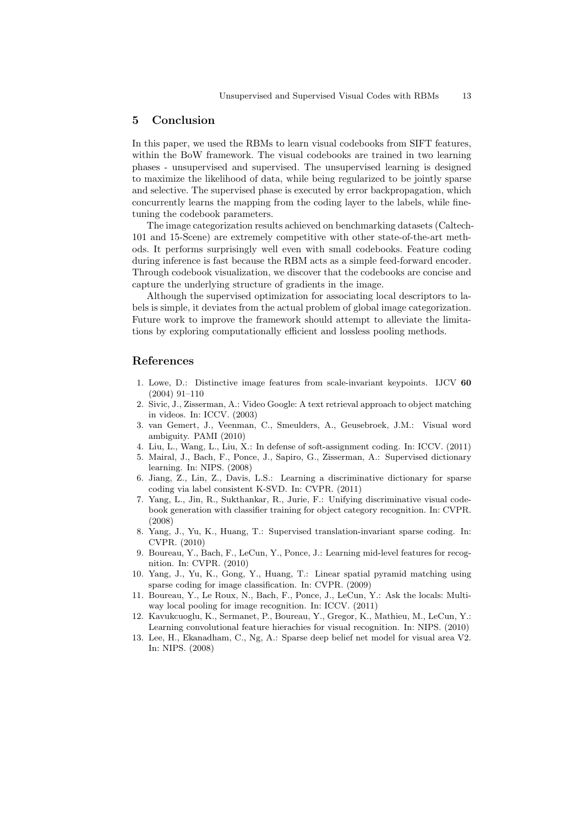## 5 Conclusion

In this paper, we used the RBMs to learn visual codebooks from SIFT features, within the BoW framework. The visual codebooks are trained in two learning phases - unsupervised and supervised. The unsupervised learning is designed to maximize the likelihood of data, while being regularized to be jointly sparse and selective. The supervised phase is executed by error backpropagation, which concurrently learns the mapping from the coding layer to the labels, while finetuning the codebook parameters.

The image categorization results achieved on benchmarking datasets (Caltech-101 and 15-Scene) are extremely competitive with other state-of-the-art methods. It performs surprisingly well even with small codebooks. Feature coding during inference is fast because the RBM acts as a simple feed-forward encoder. Through codebook visualization, we discover that the codebooks are concise and capture the underlying structure of gradients in the image.

Although the supervised optimization for associating local descriptors to labels is simple, it deviates from the actual problem of global image categorization. Future work to improve the framework should attempt to alleviate the limitations by exploring computationally efficient and lossless pooling methods.

## References

- 1. Lowe, D.: Distinctive image features from scale-invariant keypoints. IJCV 60 (2004) 91–110
- 2. Sivic, J., Zisserman, A.: Video Google: A text retrieval approach to object matching in videos. In: ICCV. (2003)
- 3. van Gemert, J., Veenman, C., Smeulders, A., Geusebroek, J.M.: Visual word ambiguity. PAMI (2010)
- 4. Liu, L., Wang, L., Liu, X.: In defense of soft-assignment coding. In: ICCV. (2011)
- 5. Mairal, J., Bach, F., Ponce, J., Sapiro, G., Zisserman, A.: Supervised dictionary learning. In: NIPS. (2008)
- 6. Jiang, Z., Lin, Z., Davis, L.S.: Learning a discriminative dictionary for sparse coding via label consistent K-SVD. In: CVPR. (2011)
- 7. Yang, L., Jin, R., Sukthankar, R., Jurie, F.: Unifying discriminative visual codebook generation with classifier training for object category recognition. In: CVPR. (2008)
- 8. Yang, J., Yu, K., Huang, T.: Supervised translation-invariant sparse coding. In: CVPR. (2010)
- 9. Boureau, Y., Bach, F., LeCun, Y., Ponce, J.: Learning mid-level features for recognition. In: CVPR. (2010)
- 10. Yang, J., Yu, K., Gong, Y., Huang, T.: Linear spatial pyramid matching using sparse coding for image classification. In: CVPR. (2009)
- 11. Boureau, Y., Le Roux, N., Bach, F., Ponce, J., LeCun, Y.: Ask the locals: Multiway local pooling for image recognition. In: ICCV. (2011)
- 12. Kavukcuoglu, K., Sermanet, P., Boureau, Y., Gregor, K., Mathieu, M., LeCun, Y.: Learning convolutional feature hierachies for visual recognition. In: NIPS. (2010)
- 13. Lee, H., Ekanadham, C., Ng, A.: Sparse deep belief net model for visual area V2. In: NIPS. (2008)